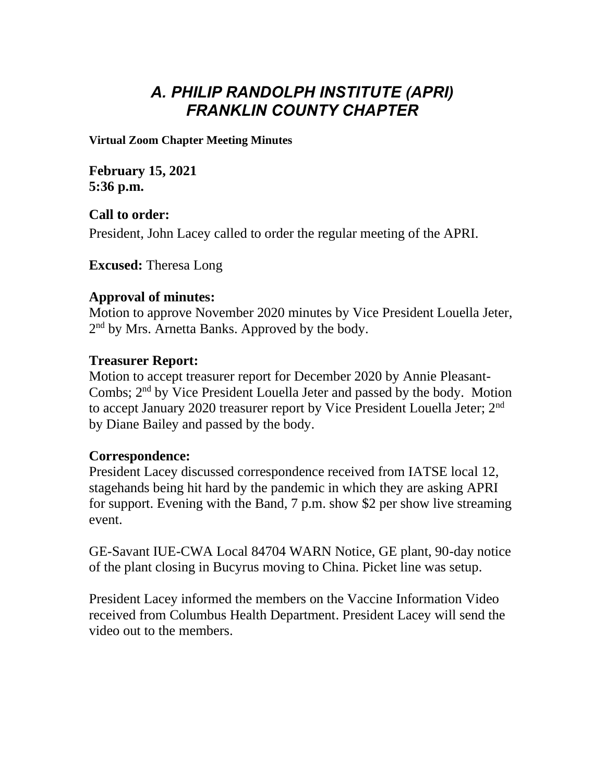# *A. PHILIP RANDOLPH INSTITUTE (APRI) FRANKLIN COUNTY CHAPTER*

**Virtual Zoom Chapter Meeting Minutes**

**February 15, 2021 5:36 p.m.**

**Call to order:** President, John Lacey called to order the regular meeting of the APRI.

**Excused:** Theresa Long

## **Approval of minutes:**

Motion to approve November 2020 minutes by Vice President Louella Jeter, 2<sup>nd</sup> by Mrs. Arnetta Banks. Approved by the body.

# **Treasurer Report:**

Motion to accept treasurer report for December 2020 by Annie Pleasant-Combs; 2<sup>nd</sup> by Vice President Louella Jeter and passed by the body. Motion to accept January 2020 treasurer report by Vice President Louella Jeter; 2<sup>nd</sup> by Diane Bailey and passed by the body.

### **Correspondence:**

President Lacey discussed correspondence received from IATSE local 12, stagehands being hit hard by the pandemic in which they are asking APRI for support. Evening with the Band, 7 p.m. show \$2 per show live streaming event.

GE-Savant IUE-CWA Local 84704 WARN Notice, GE plant, 90-day notice of the plant closing in Bucyrus moving to China. Picket line was setup.

President Lacey informed the members on the Vaccine Information Video received from Columbus Health Department. President Lacey will send the video out to the members.